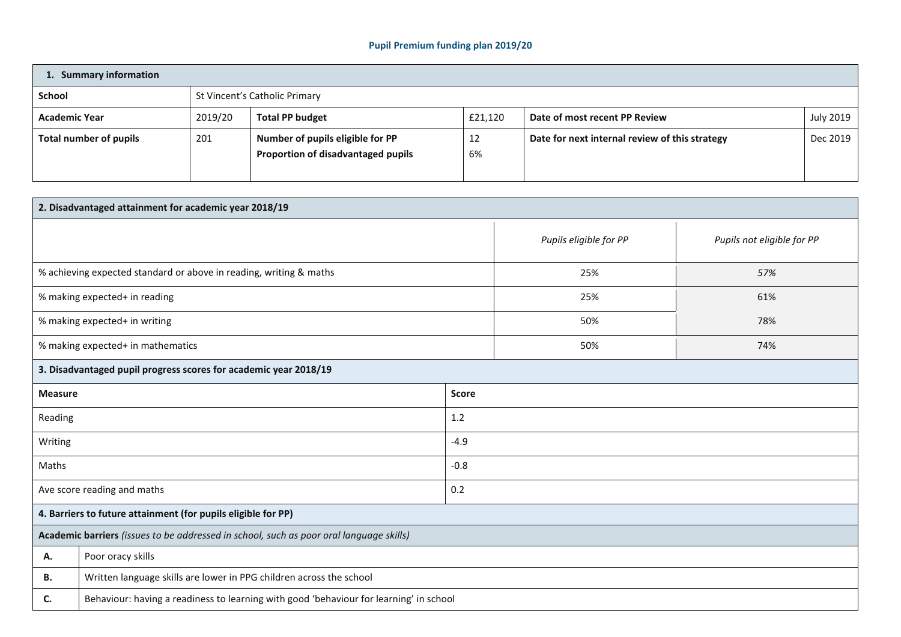## **Pupil Premium funding plan 2019/20**

| 1. Summary information |         |                                                                        |          |                                                |           |  |  |
|------------------------|---------|------------------------------------------------------------------------|----------|------------------------------------------------|-----------|--|--|
| <b>School</b>          |         | St Vincent's Catholic Primary                                          |          |                                                |           |  |  |
| <b>Academic Year</b>   | 2019/20 | <b>Total PP budget</b>                                                 | £21,120  | Date of most recent PP Review                  | July 2019 |  |  |
| Total number of pupils | 201     | Number of pupils eligible for PP<br>Proportion of disadvantaged pupils | 12<br>6% | Date for next internal review of this strategy | Dec 2019  |  |  |

| 2. Disadvantaged attainment for academic year 2018/19                                   |                                                                                        |                        |                            |     |  |  |  |
|-----------------------------------------------------------------------------------------|----------------------------------------------------------------------------------------|------------------------|----------------------------|-----|--|--|--|
|                                                                                         |                                                                                        | Pupils eligible for PP | Pupils not eligible for PP |     |  |  |  |
| % achieving expected standard or above in reading, writing & maths                      |                                                                                        |                        | 25%                        | 57% |  |  |  |
| % making expected+ in reading                                                           |                                                                                        |                        | 25%                        | 61% |  |  |  |
| % making expected+ in writing                                                           |                                                                                        |                        | 50%                        | 78% |  |  |  |
| % making expected+ in mathematics                                                       |                                                                                        | 50%                    | 74%                        |     |  |  |  |
|                                                                                         | 3. Disadvantaged pupil progress scores for academic year 2018/19                       |                        |                            |     |  |  |  |
| <b>Score</b><br><b>Measure</b>                                                          |                                                                                        |                        |                            |     |  |  |  |
| Reading                                                                                 |                                                                                        | 1.2                    |                            |     |  |  |  |
| Writing                                                                                 |                                                                                        | $-4.9$                 |                            |     |  |  |  |
| Maths                                                                                   |                                                                                        | $-0.8$                 |                            |     |  |  |  |
| Ave score reading and maths                                                             |                                                                                        | 0.2                    |                            |     |  |  |  |
| 4. Barriers to future attainment (for pupils eligible for PP)                           |                                                                                        |                        |                            |     |  |  |  |
| Academic barriers (issues to be addressed in school, such as poor oral language skills) |                                                                                        |                        |                            |     |  |  |  |
| А.                                                                                      | Poor oracy skills                                                                      |                        |                            |     |  |  |  |
| <b>B.</b>                                                                               | Written language skills are lower in PPG children across the school                    |                        |                            |     |  |  |  |
| C.                                                                                      | Behaviour: having a readiness to learning with good 'behaviour for learning' in school |                        |                            |     |  |  |  |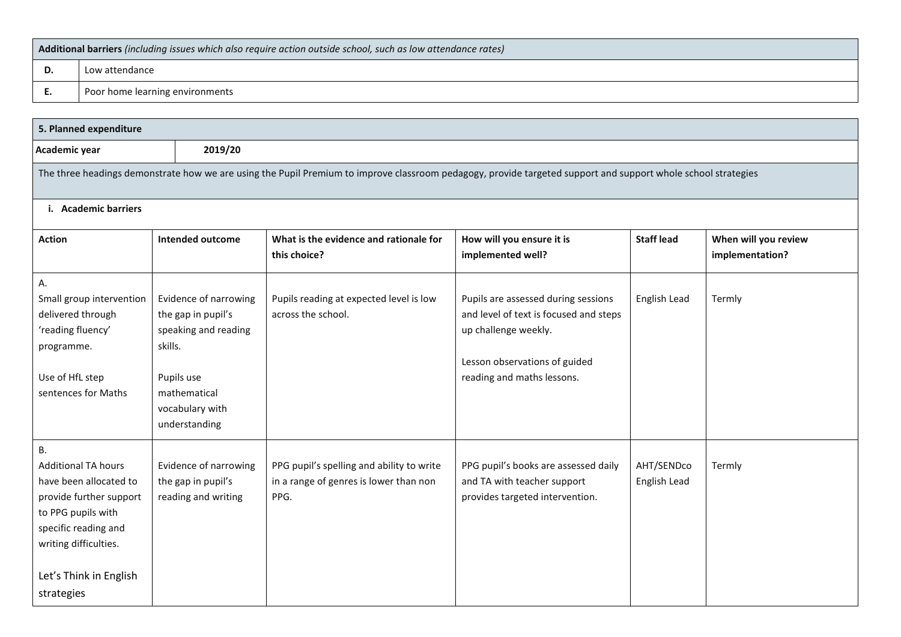| Additional barriers (including issues which also require action outside school, such as low attendance rates) |                                 |  |  |  |
|---------------------------------------------------------------------------------------------------------------|---------------------------------|--|--|--|
|                                                                                                               | Low attendance                  |  |  |  |
|                                                                                                               | Poor home learning environments |  |  |  |

| 5. Planned expenditure                                                                                                                                                                                      |                                                                                                                                                  |                                                                                                                                                               |                                                                                                                                                                      |                            |                                         |  |
|-------------------------------------------------------------------------------------------------------------------------------------------------------------------------------------------------------------|--------------------------------------------------------------------------------------------------------------------------------------------------|---------------------------------------------------------------------------------------------------------------------------------------------------------------|----------------------------------------------------------------------------------------------------------------------------------------------------------------------|----------------------------|-----------------------------------------|--|
| Academic year                                                                                                                                                                                               | 2019/20                                                                                                                                          |                                                                                                                                                               |                                                                                                                                                                      |                            |                                         |  |
|                                                                                                                                                                                                             |                                                                                                                                                  | The three headings demonstrate how we are using the Pupil Premium to improve classroom pedagogy, provide targeted support and support whole school strategies |                                                                                                                                                                      |                            |                                         |  |
| i. Academic barriers                                                                                                                                                                                        |                                                                                                                                                  |                                                                                                                                                               |                                                                                                                                                                      |                            |                                         |  |
| <b>Action</b>                                                                                                                                                                                               | Intended outcome                                                                                                                                 | What is the evidence and rationale for<br>this choice?                                                                                                        | How will you ensure it is<br>implemented well?                                                                                                                       | <b>Staff lead</b>          | When will you review<br>implementation? |  |
| А.<br>Small group intervention<br>delivered through<br>'reading fluency'<br>programme.<br>Use of HfL step<br>sentences for Maths                                                                            | Evidence of narrowing<br>the gap in pupil's<br>speaking and reading<br>skills.<br>Pupils use<br>mathematical<br>vocabulary with<br>understanding | Pupils reading at expected level is low<br>across the school.                                                                                                 | Pupils are assessed during sessions<br>and level of text is focused and steps<br>up challenge weekly.<br>Lesson observations of guided<br>reading and maths lessons. | English Lead               | Termly                                  |  |
| <b>B.</b><br><b>Additional TA hours</b><br>have been allocated to<br>provide further support<br>to PPG pupils with<br>specific reading and<br>writing difficulties.<br>Let's Think in English<br>strategies | Evidence of narrowing<br>the gap in pupil's<br>reading and writing                                                                               | PPG pupil's spelling and ability to write<br>in a range of genres is lower than non<br>PPG.                                                                   | PPG pupil's books are assessed daily<br>and TA with teacher support<br>provides targeted intervention.                                                               | AHT/SENDco<br>English Lead | Termly                                  |  |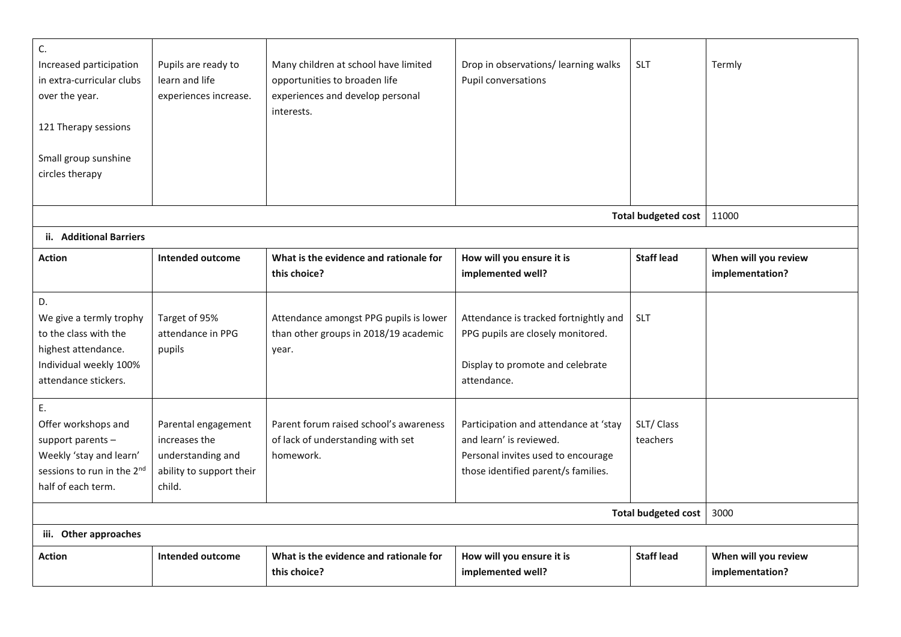| C.<br>Increased participation<br>in extra-curricular clubs<br>over the year.<br>121 Therapy sessions<br>Small group sunshine<br>circles therapy | Pupils are ready to<br>learn and life<br>experiences increase.                                  | Many children at school have limited<br>opportunities to broaden life<br>experiences and develop personal<br>interests. | Drop in observations/ learning walks<br>Pupil conversations                                                                                   | <b>SLT</b>                 | Termly                                  |
|-------------------------------------------------------------------------------------------------------------------------------------------------|-------------------------------------------------------------------------------------------------|-------------------------------------------------------------------------------------------------------------------------|-----------------------------------------------------------------------------------------------------------------------------------------------|----------------------------|-----------------------------------------|
|                                                                                                                                                 |                                                                                                 |                                                                                                                         |                                                                                                                                               | <b>Total budgeted cost</b> | 11000                                   |
| ii. Additional Barriers                                                                                                                         |                                                                                                 |                                                                                                                         |                                                                                                                                               |                            |                                         |
| <b>Action</b>                                                                                                                                   | <b>Intended outcome</b>                                                                         | What is the evidence and rationale for<br>this choice?                                                                  | How will you ensure it is<br>implemented well?                                                                                                | <b>Staff lead</b>          | When will you review<br>implementation? |
| D.<br>We give a termly trophy<br>to the class with the<br>highest attendance.<br>Individual weekly 100%<br>attendance stickers.                 | Target of 95%<br>attendance in PPG<br>pupils                                                    | Attendance amongst PPG pupils is lower<br>than other groups in 2018/19 academic<br>year.                                | Attendance is tracked fortnightly and<br>PPG pupils are closely monitored.<br>Display to promote and celebrate<br>attendance.                 | <b>SLT</b>                 |                                         |
| E.<br>Offer workshops and<br>support parents -<br>Weekly 'stay and learn'<br>sessions to run in the 2 <sup>nd</sup><br>half of each term.       | Parental engagement<br>increases the<br>understanding and<br>ability to support their<br>child. | Parent forum raised school's awareness<br>of lack of understanding with set<br>homework.                                | Participation and attendance at 'stay<br>and learn' is reviewed.<br>Personal invites used to encourage<br>those identified parent/s families. | SLT/Class<br>teachers      |                                         |
|                                                                                                                                                 | 3000                                                                                            |                                                                                                                         |                                                                                                                                               |                            |                                         |
| iii. Other approaches                                                                                                                           |                                                                                                 |                                                                                                                         |                                                                                                                                               |                            |                                         |
| <b>Action</b>                                                                                                                                   | <b>Intended outcome</b>                                                                         | What is the evidence and rationale for<br>this choice?                                                                  | How will you ensure it is<br>implemented well?                                                                                                | <b>Staff lead</b>          | When will you review<br>implementation? |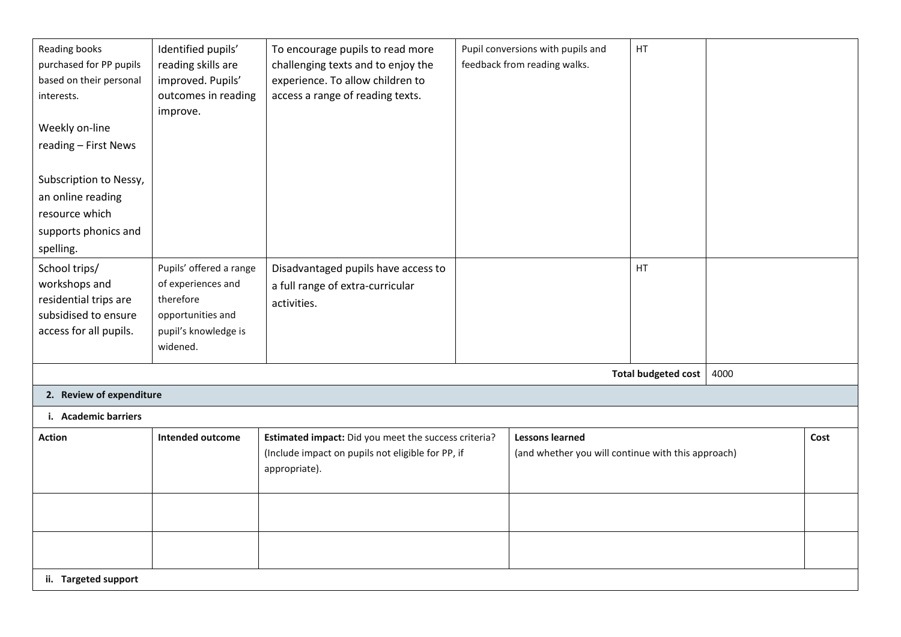| Reading books<br>purchased for PP pupils<br>based on their personal<br>interests.<br>Weekly on-line<br>reading - First News | Identified pupils'<br>reading skills are<br>improved. Pupils'<br>outcomes in reading<br>improve.                    | To encourage pupils to read more<br>challenging texts and to enjoy the<br>experience. To allow children to<br>access a range of reading texts. |  | Pupil conversions with pupils and<br>feedback from reading walks.            | HT.                        |      |      |
|-----------------------------------------------------------------------------------------------------------------------------|---------------------------------------------------------------------------------------------------------------------|------------------------------------------------------------------------------------------------------------------------------------------------|--|------------------------------------------------------------------------------|----------------------------|------|------|
| Subscription to Nessy,<br>an online reading<br>resource which<br>supports phonics and<br>spelling.                          |                                                                                                                     |                                                                                                                                                |  |                                                                              |                            |      |      |
| School trips/<br>workshops and<br>residential trips are<br>subsidised to ensure<br>access for all pupils.                   | Pupils' offered a range<br>of experiences and<br>therefore<br>opportunities and<br>pupil's knowledge is<br>widened. | Disadvantaged pupils have access to<br>a full range of extra-curricular<br>activities.                                                         |  |                                                                              | HT                         |      |      |
|                                                                                                                             |                                                                                                                     |                                                                                                                                                |  |                                                                              | <b>Total budgeted cost</b> | 4000 |      |
| 2. Review of expenditure                                                                                                    |                                                                                                                     |                                                                                                                                                |  |                                                                              |                            |      |      |
| i. Academic barriers                                                                                                        |                                                                                                                     |                                                                                                                                                |  |                                                                              |                            |      |      |
| <b>Action</b>                                                                                                               | <b>Intended outcome</b>                                                                                             | Estimated impact: Did you meet the success criteria?<br>(Include impact on pupils not eligible for PP, if<br>appropriate).                     |  | <b>Lessons learned</b><br>(and whether you will continue with this approach) |                            |      | Cost |
|                                                                                                                             |                                                                                                                     |                                                                                                                                                |  |                                                                              |                            |      |      |
|                                                                                                                             |                                                                                                                     |                                                                                                                                                |  |                                                                              |                            |      |      |
| ii. Targeted support                                                                                                        |                                                                                                                     |                                                                                                                                                |  |                                                                              |                            |      |      |